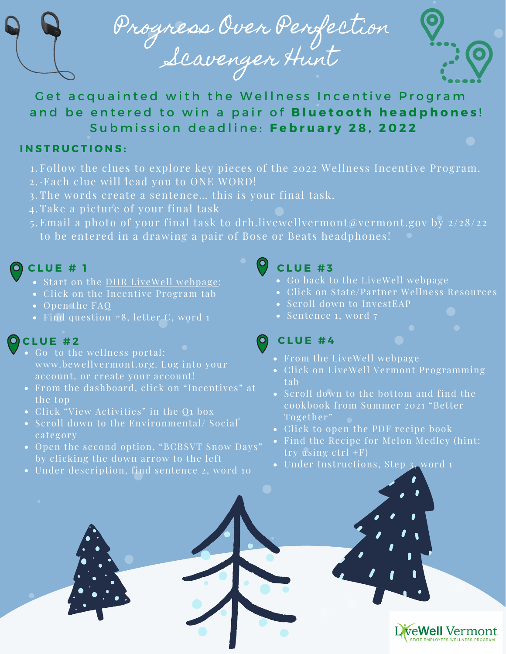Progress Over Perfection Scavenger Hunt

Get acquainted with the Wellness Incentive Program and be entered to win a pair of **Bluetooth headphones!** S u b m i s s i o n d e a d l i n e : **F e b r u a r y 2 8 , 2 0 2 2**

#### **I N S T R U C T I O N S :**

- Follow the clues to explore key pieces of the 2022 Wellness Incentive Program. 1.
- 2. Each clue will lead you to ONE WORD!
- 3.The words create a sentence... this is your final task.
- Take a picture of your final task 4.
- Email a photo of your final task to [drh.livewellvermont@vermont.gov](mailto:drh.livewellvermont@vermont.gov) by 2/28/22 5. to be entered in a drawing a pair of Bose or Beats headphones!

### **C L U E # 1**

- Start on the DHR LiveWell [webpage](https://humanresources.vermont.gov/benefits-wellness/wellness):
- Click on the Incentive Program tab
- Open the FAQ
- Find question  $#8$ , letter C, word 1

#### **C L U E # 2**

- Go to the wellness portal: [www.bewellvermont.org](http://www.bewellvermont.org/). Log into your account, or create your account!
- From the dashboard, click on "Incentives" at the top
- Click "View Activities" in the Q1 box
- Scroll down to the Environmental/Social category
- Open the second option, "BCBSVT Snow Days" by clicking the down arrow to the left
- Under description, find sentence 2, word 10

#### **C L U E # 3**

- Go back to the [LiveWell](https://humanresources.vermont.gov/benefits-wellness/wellness) [webpage](https://humanresources.vermont.gov/benefits-wellness/wellness)
- Click on [State/Partner](https://humanresources.vermont.gov/benefits-wellness/wellness) Wellness Resources
- Scroll down to InvestEAP
- 

### **C L U E # 4**

- From the [LiveWell](https://humanresources.vermont.gov/benefits-wellness/wellness) [webpage](https://humanresources.vermont.gov/benefits-wellness/wellness)
- Click on LiveWell Vermont Programming tab
- Scroll down to the bottom and find the cookbook from Summer 2021 "Better Together"
- Click to open the PDF recipe book
- Find the Recipe for Melon Medley (hint: try using ctrl +F)
- Under Instructions, Step 3, word 1